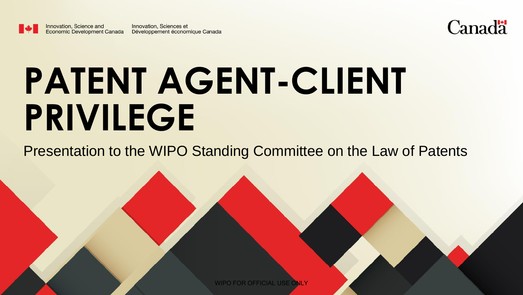

# **PATENT AGENT-CLIENT PRIVILEGE**

Presentation to the WIPO Standing Committee on the Law of Patents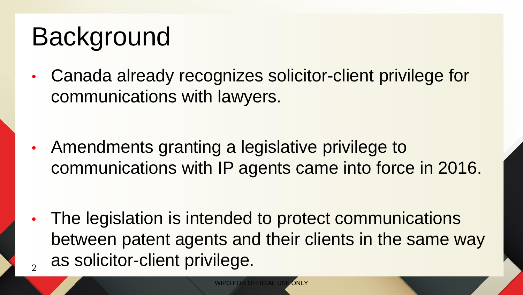### **Background**

• Canada already recognizes solicitor-client privilege for communications with lawyers.

• Amendments granting a legislative privilege to communications with IP agents came into force in 2016.

2 • The legislation is intended to protect communications between patent agents and their clients in the same way as solicitor-client privilege.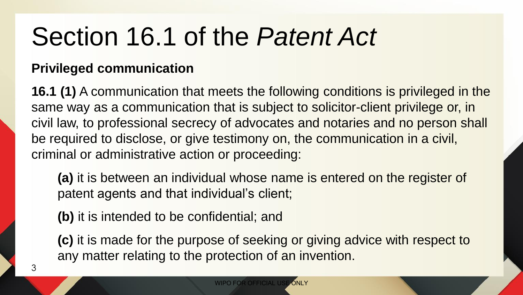#### Section 16.1 of the *Patent Act*

#### **Privileged communication**

**16.1 (1)** A communication that meets the following conditions is privileged in the same way as a communication that is subject to solicitor-client privilege or, in civil law, to professional secrecy of advocates and notaries and no person shall be required to disclose, or give testimony on, the communication in a civil, criminal or administrative action or proceeding:

**(a)** it is between an individual whose name is entered on the register of patent agents and that individual's client;

**(b)** it is intended to be confidential; and

**(c)** it is made for the purpose of seeking or giving advice with respect to any matter relating to the protection of an invention.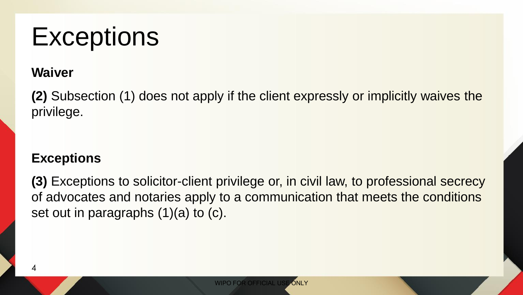#### **Exceptions**

#### **Waiver**

**(2)** Subsection (1) does not apply if the client expressly or implicitly waives the privilege.

#### **Exceptions**

**(3)** Exceptions to solicitor-client privilege or, in civil law, to professional secrecy of advocates and notaries apply to a communication that meets the conditions set out in paragraphs (1)(a) to (c).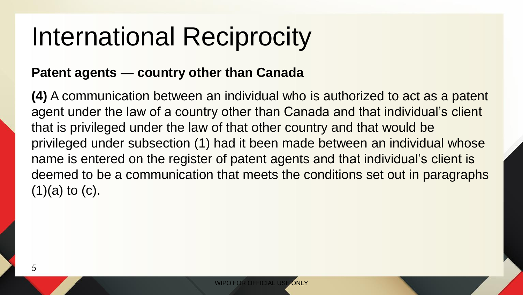#### International Reciprocity

#### **Patent agents — country other than Canada**

**(4)** A communication between an individual who is authorized to act as a patent agent under the law of a country other than Canada and that individual's client that is privileged under the law of that other country and that would be privileged under subsection (1) had it been made between an individual whose name is entered on the register of patent agents and that individual's client is deemed to be a communication that meets the conditions set out in paragraphs  $(1)(a)$  to  $(c)$ .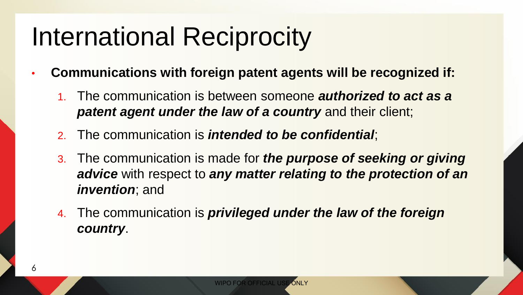#### International Reciprocity

- **Communications with foreign patent agents will be recognized if:**
	- 1. The communication is between someone *authorized to act as a patent agent under the law of a country* and their client;
	- 2. The communication is *intended to be confidential*;
	- 3. The communication is made for *the purpose of seeking or giving advice* with respect to *any matter relating to the protection of an invention*; and
	- 4. The communication is *privileged under the law of the foreign country*.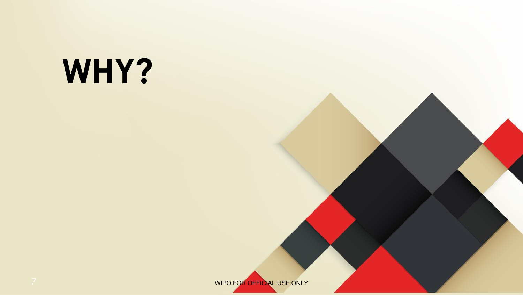## **WHY?**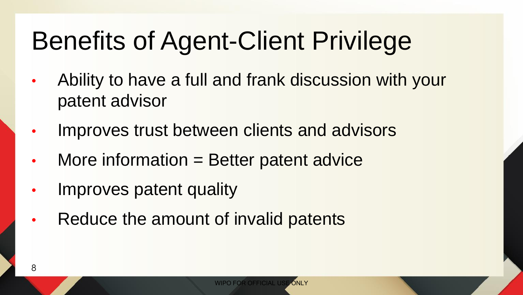### Benefits of Agent-Client Privilege

- Ability to have a full and frank discussion with your patent advisor
- Improves trust between clients and advisors
- More information = Better patent advice
- Improves patent quality
- Reduce the amount of invalid patents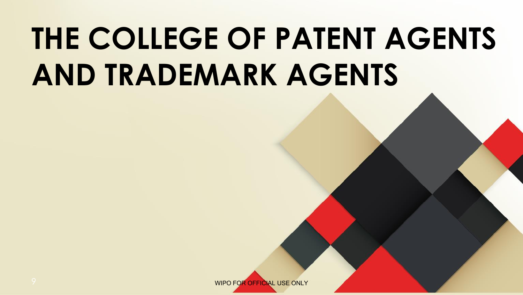## **THE COLLEGE OF PATENT AGENTS AND TRADEMARK AGENTS**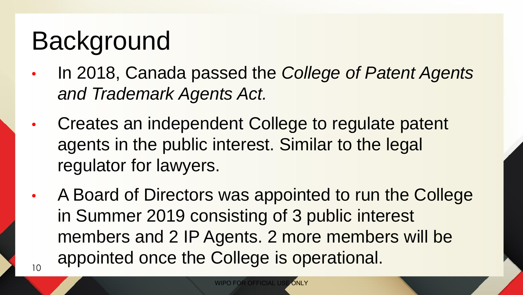#### Background

- In 2018, Canada passed the *College of Patent Agents and Trademark Agents Act.*
- Creates an independent College to regulate patent agents in the public interest. Similar to the legal regulator for lawyers.
- A Board of Directors was appointed to run the College in Summer 2019 consisting of 3 public interest members and 2 IP Agents. 2 more members will be appointed once the College is operational.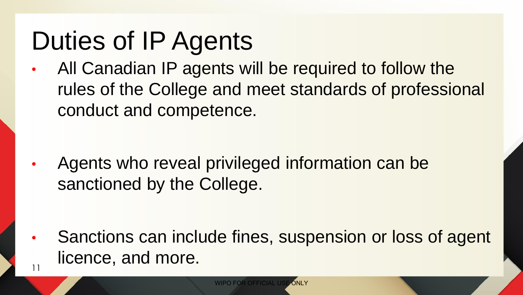### Duties of IP Agents

• All Canadian IP agents will be required to follow the rules of the College and meet standards of professional conduct and competence.

• Agents who reveal privileged information can be sanctioned by the College.

11 Sanctions can include fines, suspension or loss of agent licence, and more.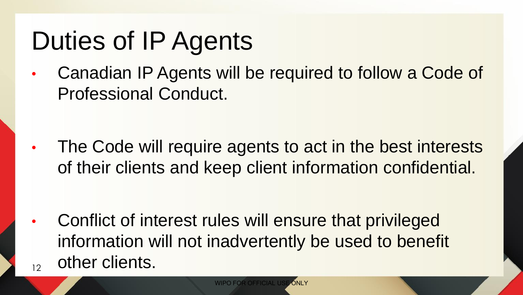### Duties of IP Agents

• Canadian IP Agents will be required to follow a Code of Professional Conduct.

• The Code will require agents to act in the best interests of their clients and keep client information confidential.

12 • Conflict of interest rules will ensure that privileged information will not inadvertently be used to benefit other clients.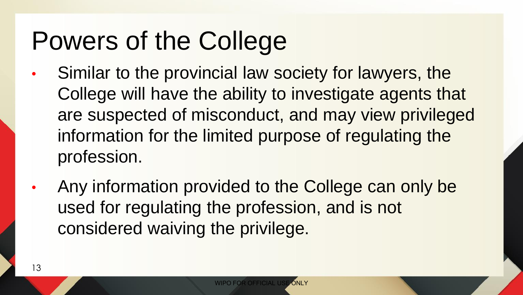#### Powers of the College

- Similar to the provincial law society for lawyers, the College will have the ability to investigate agents that are suspected of misconduct, and may view privileged information for the limited purpose of regulating the profession.
- Any information provided to the College can only be used for regulating the profession, and is not considered waiving the privilege.